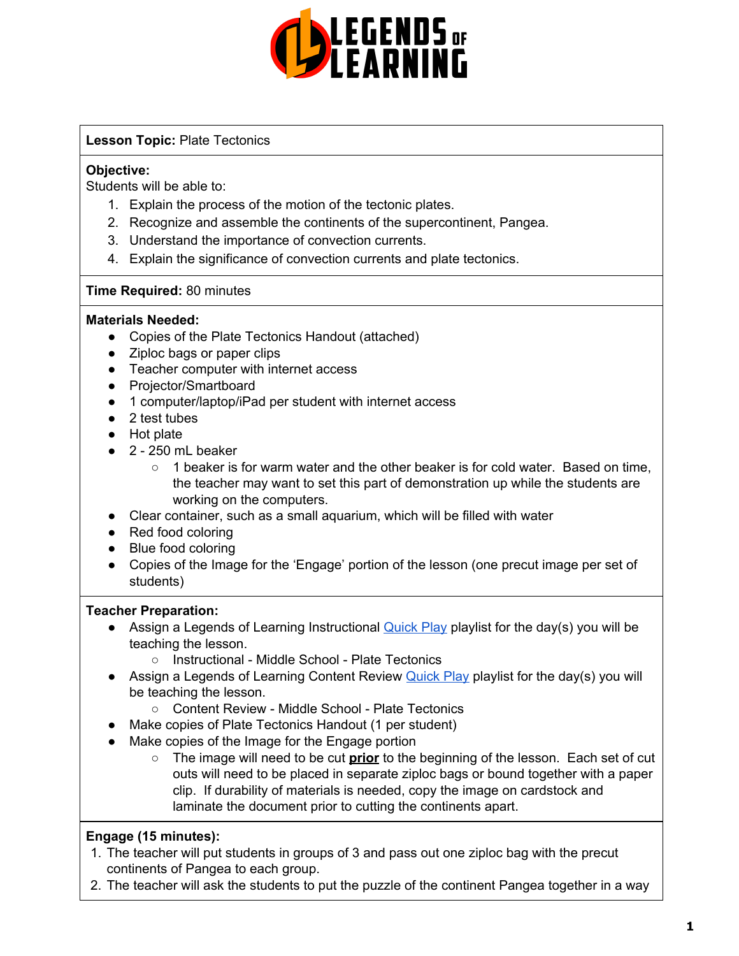

# **Lesson Topic:** Plate Tectonics

### **Objective:**

Students will be able to:

- 1. Explain the process of the motion of the tectonic plates.
- 2. Recognize and assemble the continents of the supercontinent, Pangea.
- 3. Understand the importance of convection currents.
- 4. Explain the significance of convection currents and plate tectonics.

### **Time Required:** 80 minutes

### **Materials Needed:**

- Copies of the Plate Tectonics Handout (attached)
- Ziploc bags or paper clips
- Teacher computer with internet access
- Projector/Smartboard
- 1 computer/laptop/iPad per student with internet access
- 2 test tubes
- Hot plate
- $\bullet$  2 250 mL beaker
	- $\circ$  1 beaker is for warm water and the other beaker is for cold water. Based on time, the teacher may want to set this part of demonstration up while the students are working on the computers.
- Clear container, such as a small aquarium, which will be filled with water
- Red food coloring
- Blue food coloring
- Copies of the Image for the 'Engage' portion of the lesson (one precut image per set of students)

# **Teacher Preparation:**

- **•** Assign a Legends of Learning Instructional [Quick](https://intercom.help/legends-of-learning/en/articles/2701866-assigning-a-quick-play-playlist) Play playlist for the day(s) you will be teaching the lesson.
	- Instructional Middle School Plate Tectonics
- Assign a Legends of Learning Content Review **[Quick](https://intercom.help/legends-of-learning/en/articles/2701866-assigning-a-quick-play-playlist) Play playlist for the day(s)** you will be teaching the lesson.
	- Content Review Middle School Plate Tectonics
- Make copies of Plate Tectonics Handout (1 per student)
- Make copies of the Image for the Engage portion
	- The image will need to be cut **prior** to the beginning of the lesson. Each set of cut outs will need to be placed in separate ziploc bags or bound together with a paper clip. If durability of materials is needed, copy the image on cardstock and laminate the document prior to cutting the continents apart.

# **Engage (15 minutes):**

- 1. The teacher will put students in groups of 3 and pass out one ziploc bag with the precut continents of Pangea to each group.
- 2. The teacher will ask the students to put the puzzle of the continent Pangea together in a way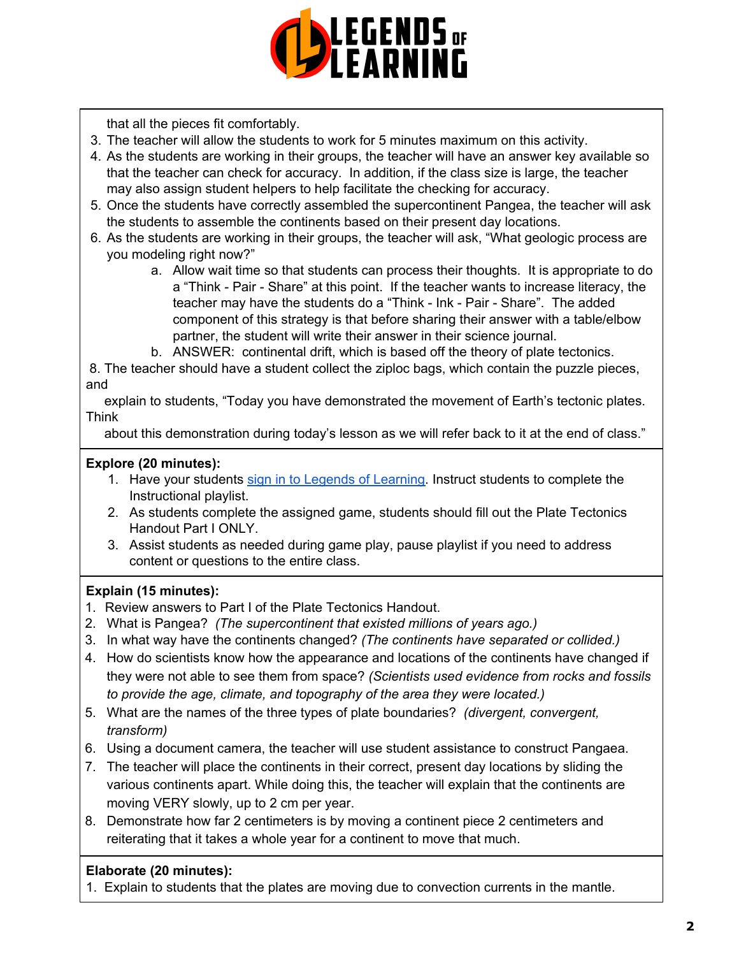

that all the pieces fit comfortably.

- 3. The teacher will allow the students to work for 5 minutes maximum on this activity.
- 4. As the students are working in their groups, the teacher will have an answer key available so that the teacher can check for accuracy. In addition, if the class size is large, the teacher may also assign student helpers to help facilitate the checking for accuracy.
- 5. Once the students have correctly assembled the supercontinent Pangea, the teacher will ask the students to assemble the continents based on their present day locations.
- 6. As the students are working in their groups, the teacher will ask, "What geologic process are you modeling right now?"
	- a. Allow wait time so that students can process their thoughts. It is appropriate to do a "Think - Pair - Share" at this point. If the teacher wants to increase literacy, the teacher may have the students do a "Think - Ink - Pair - Share". The added component of this strategy is that before sharing their answer with a table/elbow partner, the student will write their answer in their science journal.
	- b. ANSWER: continental drift, which is based off the theory of plate tectonics.

8. The teacher should have a student collect the ziploc bags, which contain the puzzle pieces, and

explain to students, "Today you have demonstrated the movement of Earth's tectonic plates. Think

about this demonstration during today's lesson as we will refer back to it at the end of class."

# **Explore (20 minutes):**

- 1. Have your students sign in to Legends of [Learning](https://intercom.help/legends-of-learning/en/articles/2154920-students-joining-a-playlist). Instruct students to complete the Instructional playlist.
- 2. As students complete the assigned game, students should fill out the Plate Tectonics Handout Part I ONLY.
- 3. Assist students as needed during game play, pause playlist if you need to address content or questions to the entire class.

# **Explain (15 minutes):**

- 1. Review answers to Part I of the Plate Tectonics Handout.
- 2. What is Pangea? *(The supercontinent that existed millions of years ago.)*
- 3. In what way have the continents changed? *(The continents have separated or collided.)*
- 4. How do scientists know how the appearance and locations of the continents have changed if they were not able to see them from space? *(Scientists used evidence from rocks and fossils to provide the age, climate, and topography of the area they were located.)*
- 5. What are the names of the three types of plate boundaries? *(divergent, convergent, transform)*
- 6. Using a document camera, the teacher will use student assistance to construct Pangaea.
- 7. The teacher will place the continents in their correct, present day locations by sliding the various continents apart. While doing this, the teacher will explain that the continents are moving VERY slowly, up to 2 cm per year.
- 8. Demonstrate how far 2 centimeters is by moving a continent piece 2 centimeters and reiterating that it takes a whole year for a continent to move that much.

# **Elaborate (20 minutes):**

1. Explain to students that the plates are moving due to convection currents in the mantle.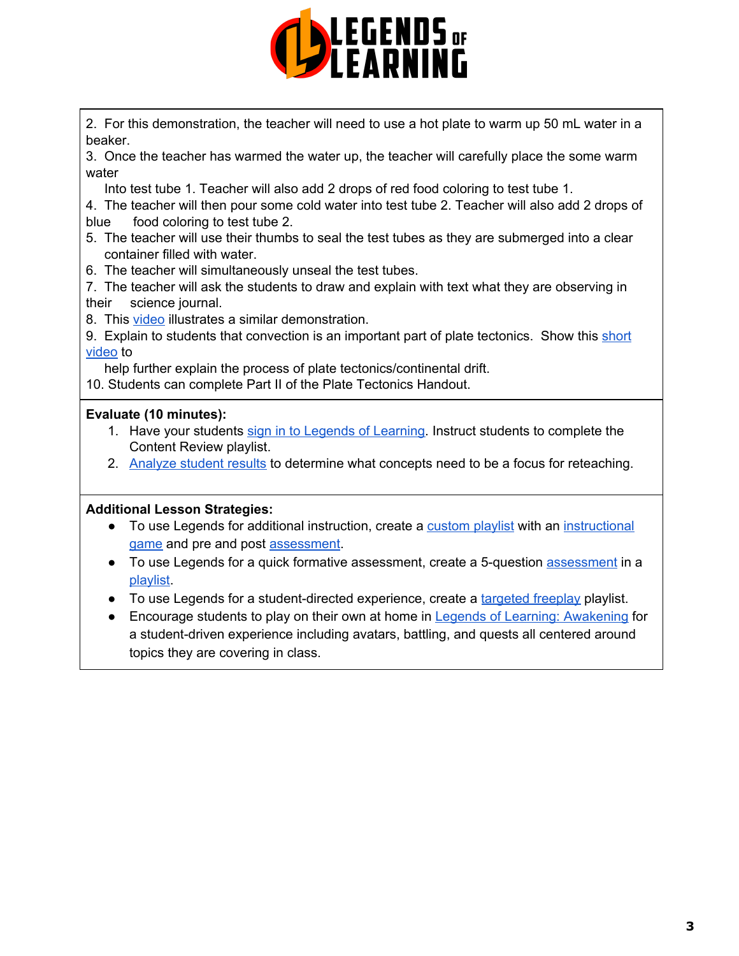

2. For this demonstration, the teacher will need to use a hot plate to warm up 50 mL water in a beaker.

3. Once the teacher has warmed the water up, the teacher will carefully place the some warm water

Into test tube 1. Teacher will also add 2 drops of red food coloring to test tube 1.

4. The teacher will then pour some cold water into test tube 2. Teacher will also add 2 drops of blue food coloring to test tube 2.

- 5. The teacher will use their thumbs to seal the test tubes as they are submerged into a clear container filled with water.
- 6. The teacher will simultaneously unseal the test tubes.
- 7. The teacher will ask the students to draw and explain with text what they are observing in their science journal.
- 8. This [video](https://www.youtube.com/watch?v=bN7E6FCuMbY) illustrates a similar demonstration.

9. Explain to students that convection is an important part of plate tectonics. Show this [short](https://www.youtube.com/watch?v=Wq9kLzm36h0) [video](https://www.youtube.com/watch?v=Wq9kLzm36h0) to

help further explain the process of plate tectonics/continental drift.

10. Students can complete Part II of the Plate Tectonics Handout.

#### **Evaluate (10 minutes):**

- 1. Have your students sign in to Legends of [Learning](https://intercom.help/legends-of-learning/en/articles/2154920-students-joining-a-playlist). Instruct students to complete the Content Review playlist.
- 2. [Analyze](https://intercom.help/legends-of-learning/en/articles/2154918-tracking-student-progress-and-performance) student results to determine what concepts need to be a focus for reteaching.

#### **Additional Lesson Strategies:**

- To use Legends for additional instruction, create a [custom](https://intercom.help/legends-of-learning/en/articles/2154910-creating-a-playlist) playlist with an [instructional](https://intercom.help/legends-of-learning/en/articles/3505828-types-of-games) [game](https://intercom.help/legends-of-learning/en/articles/3505828-types-of-games) and pre and post [assessment](https://intercom.help/legends-of-learning/en/articles/2154913-adding-assessments-to-a-playlist).
- To use Legends for a quick formative [assessment](https://intercom.help/legends-of-learning/en/articles/2154913-adding-assessments-to-a-playlist), create a 5-question assessment in a [playlist.](https://intercom.help/legends-of-learning/en/articles/2154910-creating-a-playlist)
- To use Legends for a student-directed experience, create a [targeted](https://intercom.help/legends-of-learning/en/articles/3340814-targeted-freeplay) freeplay playlist.
- Encourage students to play on their own at home in **Legends of Learning: [Awakening](https://intercom.help/legends-of-learning/en/articles/2425490-legends-of-learning-awakening)** for a student-driven experience including avatars, battling, and quests all centered around topics they are covering in class.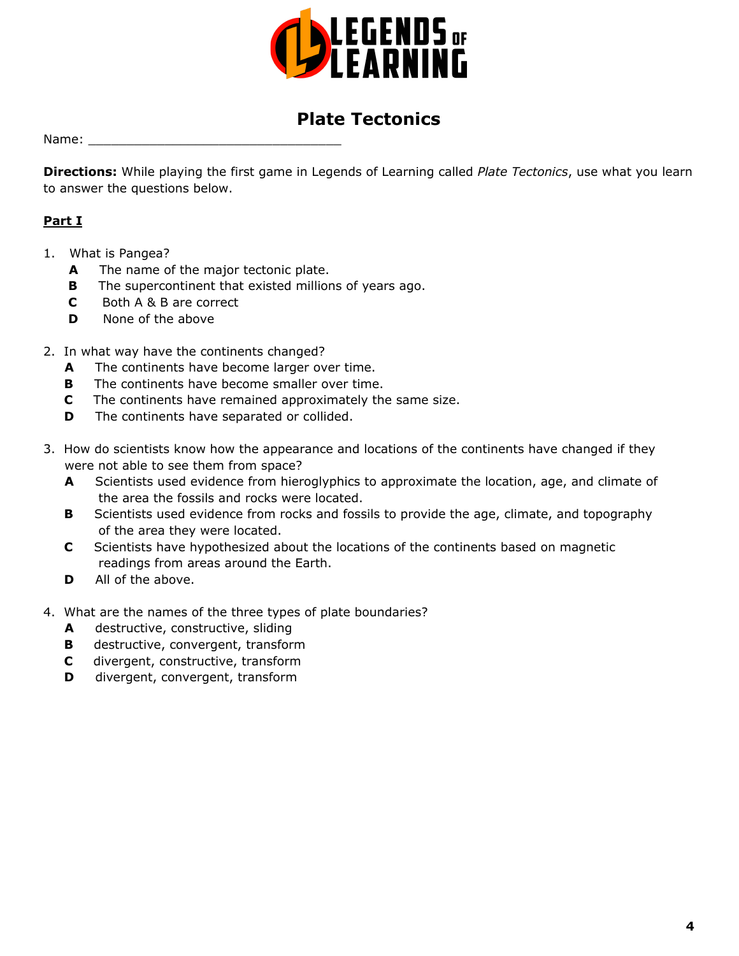

# **Plate Tectonics**

Name:

**Directions:** While playing the first game in Legends of Learning called *Plate Tectonics*, use what you learn to answer the questions below.

# **Part I**

- 1. What is Pangea?
	- **A** The name of the major tectonic plate.
	- **B** The supercontinent that existed millions of years ago.
	- **C** Both A & B are correct
	- **D** None of the above
- 2. In what way have the continents changed?
	- **A** The continents have become larger over time.
	- **B** The continents have become smaller over time.
	- **C** The continents have remained approximately the same size.
	- **D** The continents have separated or collided.
- 3. How do scientists know how the appearance and locations of the continents have changed if they were not able to see them from space?
	- **A** Scientists used evidence from hieroglyphics to approximate the location, age, and climate of the area the fossils and rocks were located.
	- **B** Scientists used evidence from rocks and fossils to provide the age, climate, and topography of the area they were located.
	- **C** Scientists have hypothesized about the locations of the continents based on magnetic readings from areas around the Earth.
	- **D** All of the above.
- 4. What are the names of the three types of plate boundaries?
	- **A** destructive, constructive, sliding
	- **B** destructive, convergent, transform
	- **C** divergent, constructive, transform
	- **D** divergent, convergent, transform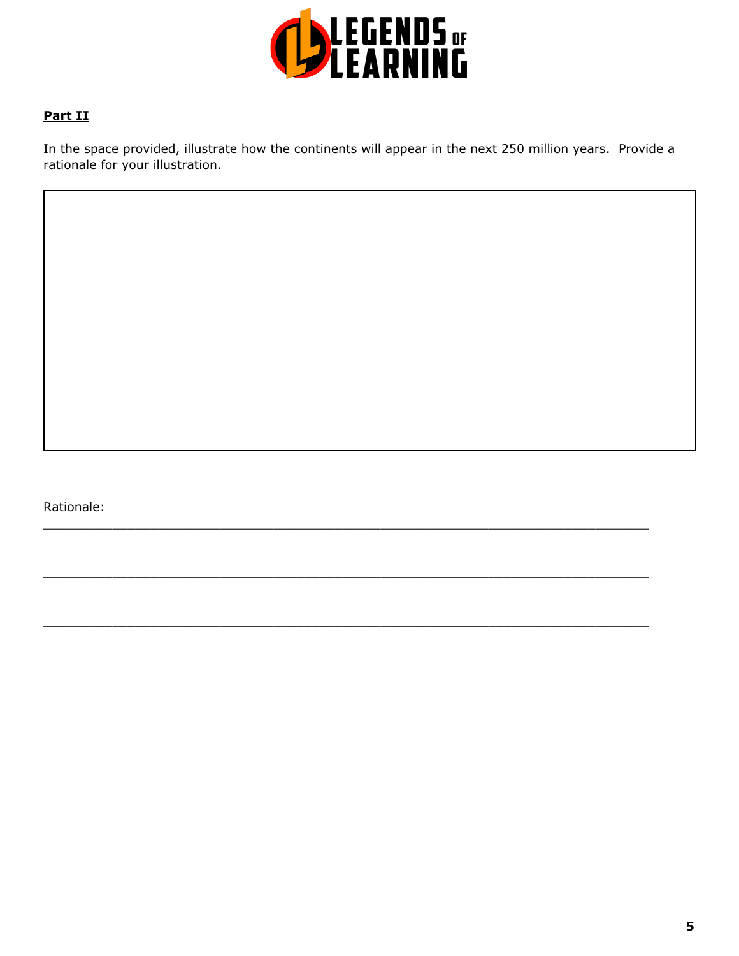

# **Part II**

In the space provided, illustrate how the continents will appear in the next 250 million years. Provide a rationale for your illustration.

 $\_$  , and the state of the state of the state of the state of the state of the state of the state of the state of the state of the state of the state of the state of the state of the state of the state of the state of the

 $\_$  , and the state of the state of the state of the state of the state of the state of the state of the state of the state of the state of the state of the state of the state of the state of the state of the state of the

 $\_$  , and the state of the state of the state of the state of the state of the state of the state of the state of the state of the state of the state of the state of the state of the state of the state of the state of the

Rationale: